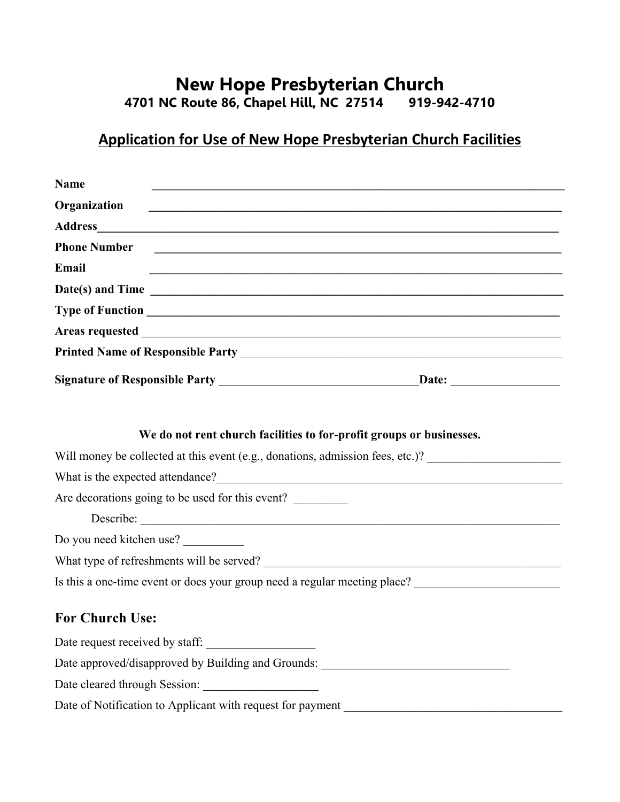# **New Hope Presbyterian Church<br>
Route 86, Chapel Hill, NC 27514 919-942-4710 4701 NC Route 86, Chapel Hill, NC 27514 919-942-4710**

# **Application for Use of New Hope Presbyterian Church Facilities**

| <b>Name</b>                                                                                                                                            |                                                                                                                       |
|--------------------------------------------------------------------------------------------------------------------------------------------------------|-----------------------------------------------------------------------------------------------------------------------|
| Organization                                                                                                                                           | <u> 1989 - Johann Stoff, deutscher Stoff, der Stoff, der Stoff, der Stoff, der Stoff, der Stoff, der Stoff, der S</u> |
|                                                                                                                                                        |                                                                                                                       |
| <b>Phone Number</b>                                                                                                                                    | <u> 1989 - Johann John Stone, markin sanadi amerikan bahasa dalam bahasa dalam bahasa dalam bahasa dalam bahasa d</u> |
| Email                                                                                                                                                  |                                                                                                                       |
| $Date(s)$ and Time $\qquad \qquad$                                                                                                                     |                                                                                                                       |
|                                                                                                                                                        |                                                                                                                       |
|                                                                                                                                                        |                                                                                                                       |
|                                                                                                                                                        |                                                                                                                       |
|                                                                                                                                                        |                                                                                                                       |
| We do not rent church facilities to for-profit groups or businesses.<br>Will money be collected at this event (e.g., donations, admission fees, etc.)? |                                                                                                                       |
|                                                                                                                                                        |                                                                                                                       |
| Are decorations going to be used for this event?                                                                                                       |                                                                                                                       |
| Describe:                                                                                                                                              |                                                                                                                       |
| Do you need kitchen use?                                                                                                                               |                                                                                                                       |
|                                                                                                                                                        |                                                                                                                       |
| Is this a one-time event or does your group need a regular meeting place?                                                                              |                                                                                                                       |
| <b>For Church Use:</b>                                                                                                                                 |                                                                                                                       |
| Date request received by staff:                                                                                                                        |                                                                                                                       |
| Date approved/disapproved by Building and Grounds:                                                                                                     |                                                                                                                       |
| Date cleared through Session:                                                                                                                          |                                                                                                                       |

Date of Notification to Applicant with request for payment \_\_\_\_\_\_\_\_\_\_\_\_\_\_\_\_\_\_\_\_\_\_\_\_\_\_\_\_\_\_\_\_\_\_\_\_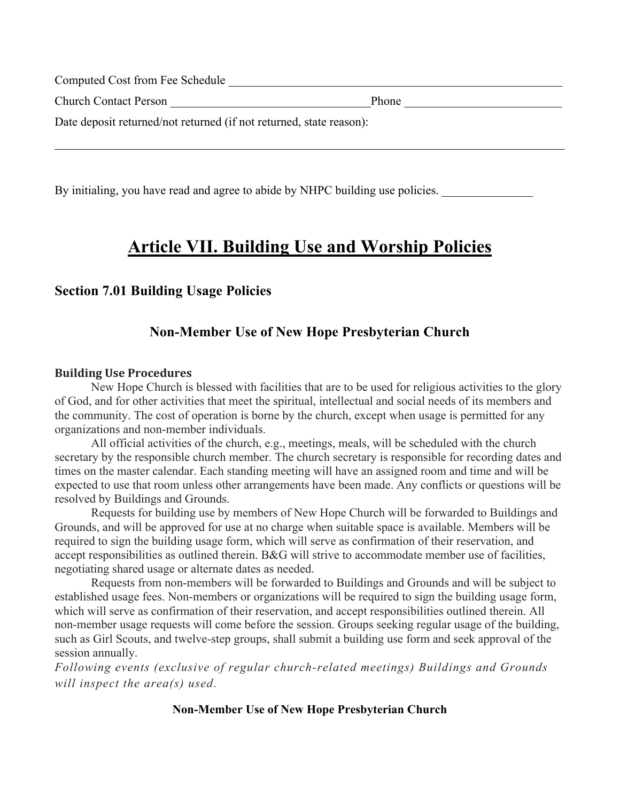| Computed Cost from Fee Schedule                                     |       |  |
|---------------------------------------------------------------------|-------|--|
| <b>Church Contact Person</b>                                        | Phone |  |
| Date deposit returned/not returned (if not returned, state reason): |       |  |
|                                                                     |       |  |

By initialing, you have read and agree to abide by NHPC building use policies.

# **Article VII. Building Use and Worship Policies**

## **Section 7.01 Building Usage Policies**

# **Non-Member Use of New Hope Presbyterian Church**

#### **Building Use Procedures**

New Hope Church is blessed with facilities that are to be used for religious activities to the glory of God, and for other activities that meet the spiritual, intellectual and social needs of its members and the community. The cost of operation is borne by the church, except when usage is permitted for any organizations and non-member individuals.

All official activities of the church, e.g., meetings, meals, will be scheduled with the church secretary by the responsible church member. The church secretary is responsible for recording dates and times on the master calendar. Each standing meeting will have an assigned room and time and will be expected to use that room unless other arrangements have been made. Any conflicts or questions will be resolved by Buildings and Grounds.

Requests for building use by members of New Hope Church will be forwarded to Buildings and Grounds, and will be approved for use at no charge when suitable space is available. Members will be required to sign the building usage form, which will serve as confirmation of their reservation, and accept responsibilities as outlined therein. B&G will strive to accommodate member use of facilities, negotiating shared usage or alternate dates as needed.

Requests from non-members will be forwarded to Buildings and Grounds and will be subject to established usage fees. Non-members or organizations will be required to sign the building usage form, which will serve as confirmation of their reservation, and accept responsibilities outlined therein. All non-member usage requests will come before the session. Groups seeking regular usage of the building, such as Girl Scouts, and twelve-step groups, shall submit a building use form and seek approval of the session annually.

*Following events (exclusive of regular church-related meetings) Buildings and Grounds will inspect the area(s) used.*

### **Non-Member Use of New Hope Presbyterian Church**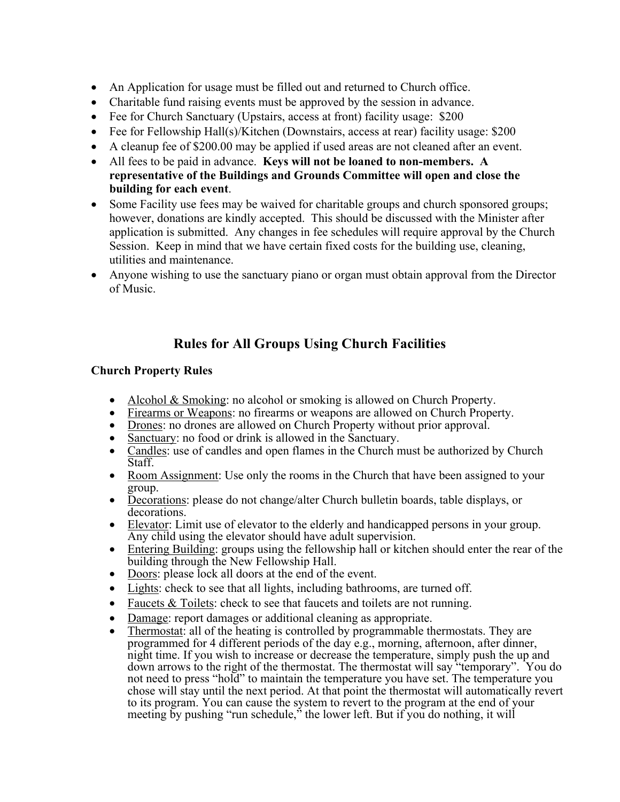- An Application for usage must be filled out and returned to Church office.
- Charitable fund raising events must be approved by the session in advance.
- Fee for Church Sanctuary (Upstairs, access at front) facility usage: \$200
- Fee for Fellowship Hall(s)/Kitchen (Downstairs, access at rear) facility usage: \$200
- A cleanup fee of \$200.00 may be applied if used areas are not cleaned after an event.
- All fees to be paid in advance. **Keys will not be loaned to non-members. A representative of the Buildings and Grounds Committee will open and close the building for each event**.
- Some Facility use fees may be waived for charitable groups and church sponsored groups; however, donations are kindly accepted. This should be discussed with the Minister after application is submitted. Any changes in fee schedules will require approval by the Church Session. Keep in mind that we have certain fixed costs for the building use, cleaning, utilities and maintenance.
- Anyone wishing to use the sanctuary piano or organ must obtain approval from the Director of Music.

# **Rules for All Groups Using Church Facilities**

## **Church Property Rules**

- Alcohol & Smoking: no alcohol or smoking is allowed on Church Property.
- Firearms or Weapons: no firearms or weapons are allowed on Church Property.
- Drones: no drones are allowed on Church Property without prior approval.
- Sanctuary: no food or drink is allowed in the Sanctuary.
- Candles: use of candles and open flames in the Church must be authorized by Church Staff.
- Room Assignment: Use only the rooms in the Church that have been assigned to your group.
- Decorations: please do not change/alter Church bulletin boards, table displays, or decorations.
- Elevator: Limit use of elevator to the elderly and handicapped persons in your group. Any child using the elevator should have adult supervision.
- Entering Building: groups using the fellowship hall or kitchen should enter the rear of the building through the New Fellowship Hall.
- Doors: please lock all doors at the end of the event.
- Lights: check to see that all lights, including bathrooms, are turned off.
- Faucets & Toilets: check to see that faucets and toilets are not running.
- Damage: report damages or additional cleaning as appropriate.
- Thermostat: all of the heating is controlled by programmable thermostats. They are programmed for 4 different periods of the day e.g., morning, afternoon, after dinner, night time. If you wish to increase or decrease the temperature, simply push the up and down arrows to the right of the thermostat. The thermostat will say "temporary". You do not need to press "hold" to maintain the temperature you have set. The temperature you chose will stay until the next period. At that point the thermostat will automatically revert to its program. You can cause the system to revert to the program at the end of your meeting by pushing "run schedule," the lower left. But if you do nothing, it will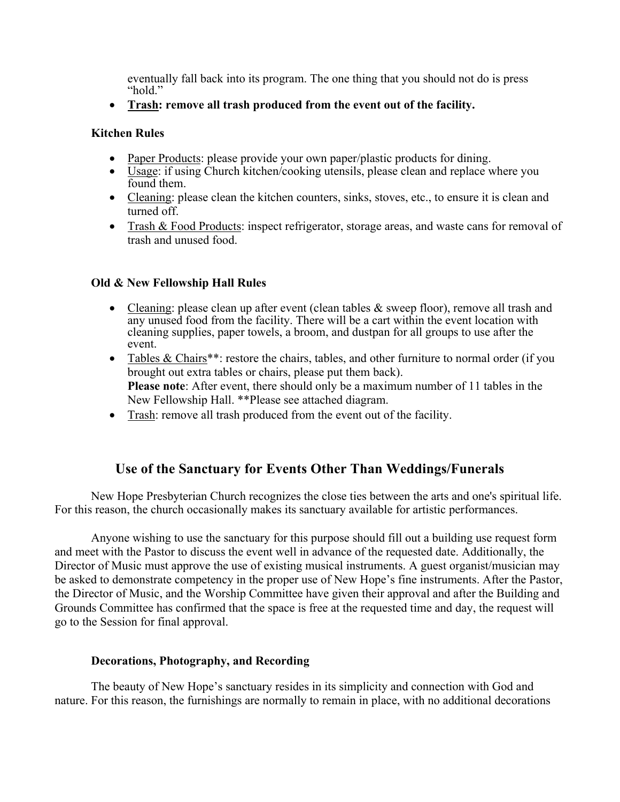eventually fall back into its program. The one thing that you should not do is press "hold."

• **Trash: remove all trash produced from the event out of the facility.**

### **Kitchen Rules**

- Paper Products: please provide your own paper/plastic products for dining.
- Usage: if using Church kitchen/cooking utensils, please clean and replace where you found them.
- Cleaning: please clean the kitchen counters, sinks, stoves, etc., to ensure it is clean and turned off.
- Trash & Food Products: inspect refrigerator, storage areas, and waste cans for removal of trash and unused food.

### **Old & New Fellowship Hall Rules**

- Cleaning: please clean up after event (clean tables & sweep floor), remove all trash and any unused food from the facility. There will be a cart within the event location with cleaning supplies, paper towels, a broom, and dustpan for all groups to use after the event.
- Tables & Chairs<sup>\*\*</sup>: restore the chairs, tables, and other furniture to normal order (if you brought out extra tables or chairs, please put them back). **Please note**: After event, there should only be a maximum number of 11 tables in the New Fellowship Hall. \*\*Please see attached diagram.
- Trash: remove all trash produced from the event out of the facility.

# **Use of the Sanctuary for Events Other Than Weddings/Funerals**

New Hope Presbyterian Church recognizes the close ties between the arts and one's spiritual life. For this reason, the church occasionally makes its sanctuary available for artistic performances.

Anyone wishing to use the sanctuary for this purpose should fill out a building use request form and meet with the Pastor to discuss the event well in advance of the requested date. Additionally, the Director of Music must approve the use of existing musical instruments. A guest organist/musician may be asked to demonstrate competency in the proper use of New Hope's fine instruments. After the Pastor, the Director of Music, and the Worship Committee have given their approval and after the Building and Grounds Committee has confirmed that the space is free at the requested time and day, the request will go to the Session for final approval.

### **Decorations, Photography, and Recording**

The beauty of New Hope's sanctuary resides in its simplicity and connection with God and nature. For this reason, the furnishings are normally to remain in place, with no additional decorations